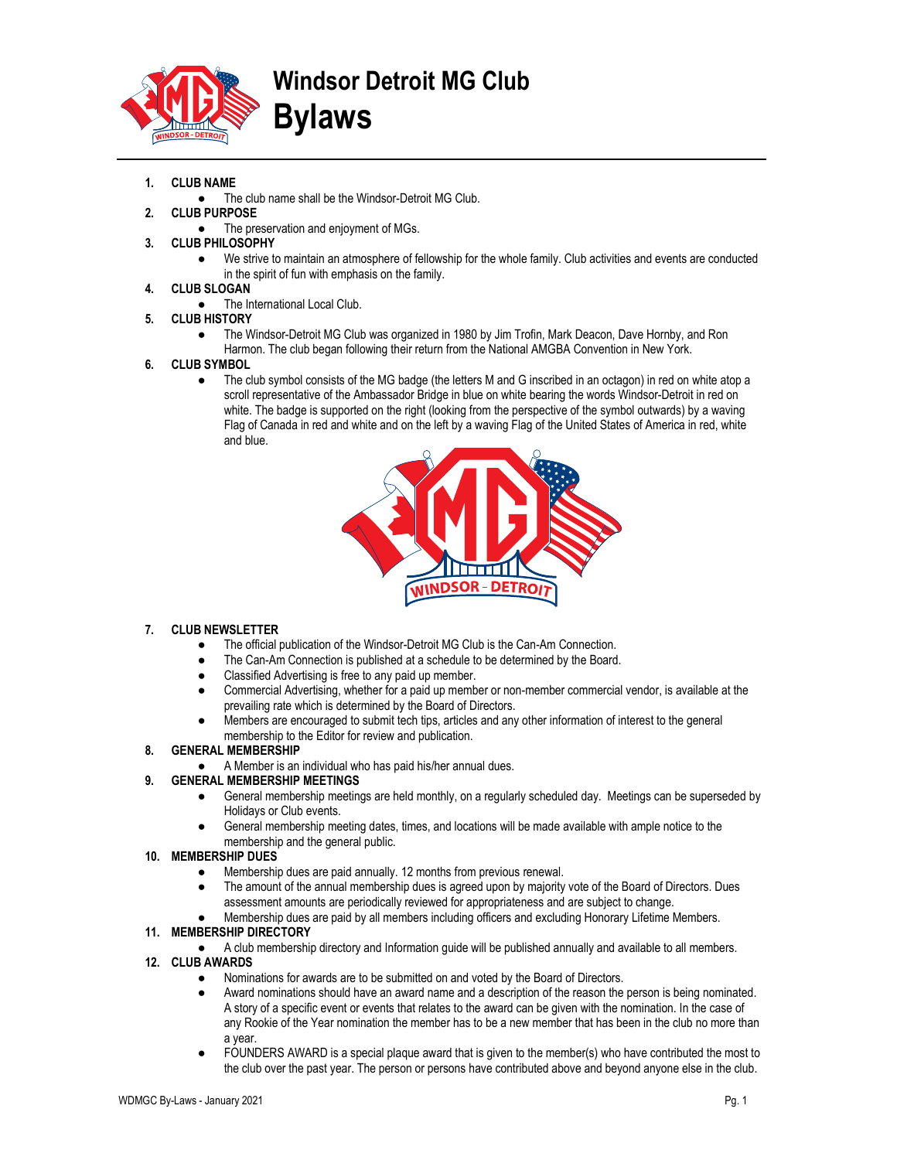

# Windsor Detroit MG Club Bylaws

# 1. CLUB NAME

- The club name shall be the Windsor-Detroit MG Club.
- 2. CLUB PURPOSE
	- The preservation and enjoyment of MGs.
- 3. CLUB PHILOSOPHY
	- We strive to maintain an atmosphere of fellowship for the whole family. Club activities and events are conducted in the spirit of fun with emphasis on the family.

# 4. CLUB SLOGAN

- The International Local Club.
- 5. CLUB HISTORY
	- The Windsor-Detroit MG Club was organized in 1980 by Jim Trofin, Mark Deacon, Dave Hornby, and Ron Harmon. The club began following their return from the National AMGBA Convention in New York.

# 6. CLUB SYMBOL

The club symbol consists of the MG badge (the letters M and G inscribed in an octagon) in red on white atop a scroll representative of the Ambassador Bridge in blue on white bearing the words Windsor-Detroit in red on white. The badge is supported on the right (looking from the perspective of the symbol outwards) by a waving Flag of Canada in red and white and on the left by a waving Flag of the United States of America in red, white and blue.



# 7. CLUB NEWSLETTER

- The official publication of the Windsor-Detroit MG Club is the Can-Am Connection.
- The Can-Am Connection is published at a schedule to be determined by the Board.
- Classified Advertising is free to any paid up member.
- Commercial Advertising, whether for a paid up member or non-member commercial vendor, is available at the prevailing rate which is determined by the Board of Directors.
- Members are encouraged to submit tech tips, articles and any other information of interest to the general membership to the Editor for review and publication.

# 8. GENERAL MEMBERSHIP

A Member is an individual who has paid his/her annual dues.

# 9. GENERAL MEMBERSHIP MEETINGS

- General membership meetings are held monthly, on a regularly scheduled day. Meetings can be superseded by Holidays or Club events.
- General membership meeting dates, times, and locations will be made available with ample notice to the membership and the general public.

# 10. MEMBERSHIP DUES

- Membership dues are paid annually. 12 months from previous renewal.
- The amount of the annual membership dues is agreed upon by majority vote of the Board of Directors. Dues assessment amounts are periodically reviewed for appropriateness and are subject to change.
- Membership dues are paid by all members including officers and excluding Honorary Lifetime Members.

# 11. MEMBERSHIP DIRECTORY

- A club membership directory and Information guide will be published annually and available to all members.
- 12. CLUB AWARDS
	- Nominations for awards are to be submitted on and voted by the Board of Directors.
	- Award nominations should have an award name and a description of the reason the person is being nominated. A story of a specific event or events that relates to the award can be given with the nomination. In the case of any Rookie of the Year nomination the member has to be a new member that has been in the club no more than a year.
	- FOUNDERS AWARD is a special plaque award that is given to the member(s) who have contributed the most to the club over the past year. The person or persons have contributed above and beyond anyone else in the club.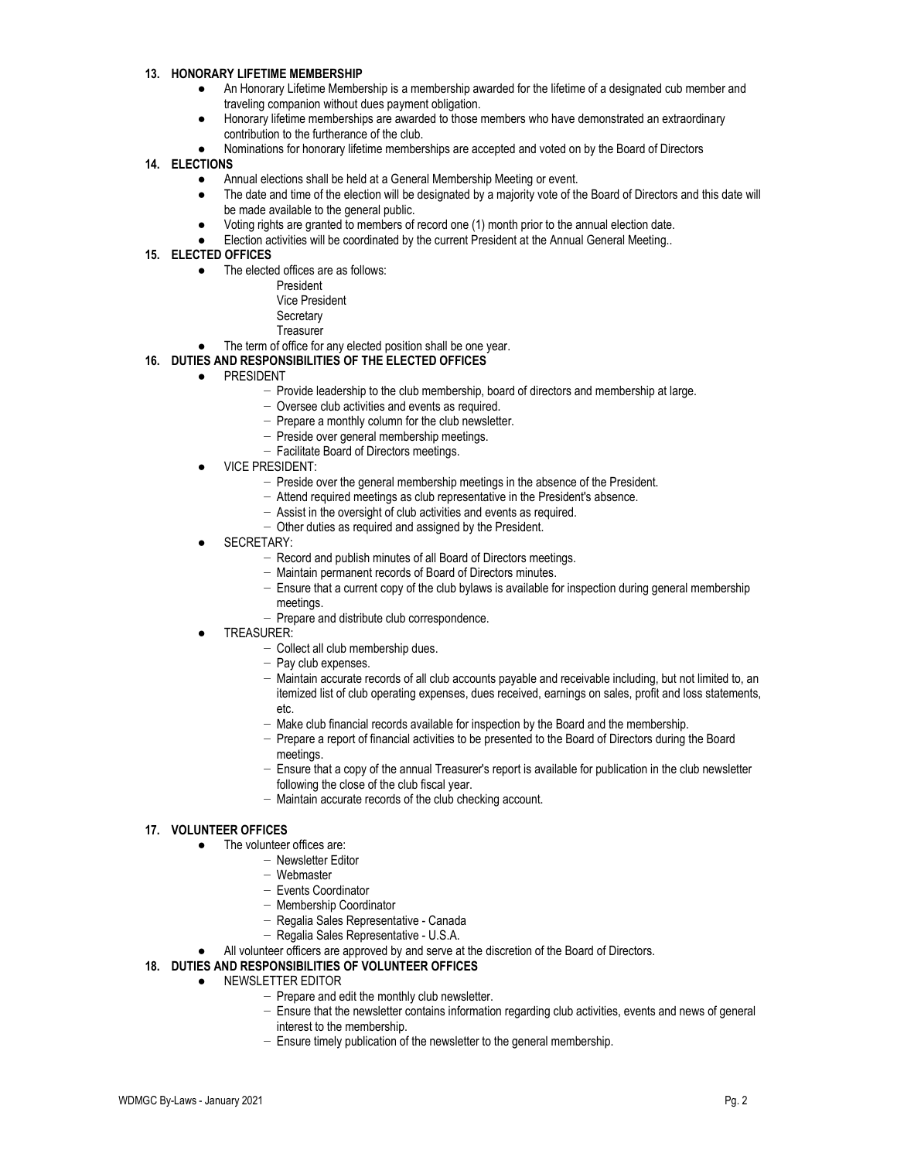#### 13. HONORARY LIFETIME MEMBERSHIP

- An Honorary Lifetime Membership is a membership awarded for the lifetime of a designated cub member and traveling companion without dues payment obligation.
- Honorary lifetime memberships are awarded to those members who have demonstrated an extraordinary contribution to the furtherance of the club.
- Nominations for honorary lifetime memberships are accepted and voted on by the Board of Directors

#### 14. ELECTIONS

- Annual elections shall be held at a General Membership Meeting or event.
- The date and time of the election will be designated by a majority vote of the Board of Directors and this date will be made available to the general public.
- Voting rights are granted to members of record one (1) month prior to the annual election date.
- Election activities will be coordinated by the current President at the Annual General Meeting..

#### 15. ELECTED OFFICES

- The elected offices are as follows:
	- President
	- Vice President
	- **Secretary**
	- **Treasurer**
- The term of office for any elected position shall be one year.

# 16. DUTIES AND RESPONSIBILITIES OF THE ELECTED OFFICES

- PRESIDENT
	- − Provide leadership to the club membership, board of directors and membership at large.
	- − Oversee club activities and events as required.
	- − Prepare a monthly column for the club newsletter.
	- − Preside over general membership meetings.
	- − Facilitate Board of Directors meetings.
- **VICE PRESIDENT:** 
	- − Preside over the general membership meetings in the absence of the President.
	- − Attend required meetings as club representative in the President's absence.
	- − Assist in the oversight of club activities and events as required.
	- − Other duties as required and assigned by the President.
- SECRETARY:
	- − Record and publish minutes of all Board of Directors meetings.
	- − Maintain permanent records of Board of Directors minutes.
	- − Ensure that a current copy of the club bylaws is available for inspection during general membership meetings.
	- − Prepare and distribute club correspondence.
- TREASURER:
	- − Collect all club membership dues.
	- − Pay club expenses.
	- − Maintain accurate records of all club accounts payable and receivable including, but not limited to, an itemized list of club operating expenses, dues received, earnings on sales, profit and loss statements, etc.
	- − Make club financial records available for inspection by the Board and the membership.
	- − Prepare a report of financial activities to be presented to the Board of Directors during the Board meetings.
	- − Ensure that a copy of the annual Treasurer's report is available for publication in the club newsletter following the close of the club fiscal year.
	- − Maintain accurate records of the club checking account.

# 17. VOLUNTEER OFFICES

- The volunteer offices are:
	- − Newsletter Editor
	- − Webmaster
	- − Events Coordinator
	- − Membership Coordinator
	- − Regalia Sales Representative Canada
	- − Regalia Sales Representative U.S.A.
- All volunteer officers are approved by and serve at the discretion of the Board of Directors.

#### 18. DUTIES AND RESPONSIBILITIES OF VOLUNTEER OFFICES

- NEWSLETTER EDITOR
	- − Prepare and edit the monthly club newsletter.
	- − Ensure that the newsletter contains information regarding club activities, events and news of general interest to the membership.
	- − Ensure timely publication of the newsletter to the general membership.